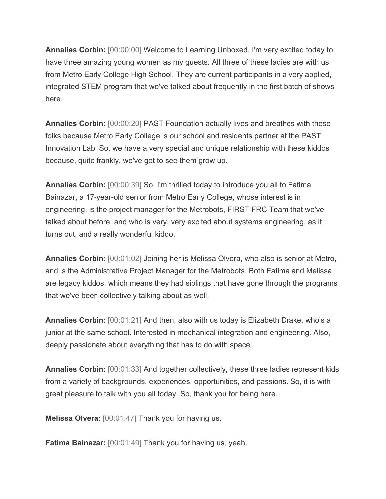**Annalies Corbin:** [00:00:00] Welcome to Learning Unboxed. I'm very excited today to have three amazing young women as my guests. All three of these ladies are with us from Metro Early College High School. They are current participants in a very applied, integrated STEM program that we've talked about frequently in the first batch of shows here.

**Annalies Corbin:** [00:00:20] PAST Foundation actually lives and breathes with these folks because Metro Early College is our school and residents partner at the PAST Innovation Lab. So, we have a very special and unique relationship with these kiddos because, quite frankly, we've got to see them grow up.

**Annalies Corbin:** [00:00:39] So, I'm thrilled today to introduce you all to Fatima Bainazar, a 17-year-old senior from Metro Early College, whose interest is in engineering, is the project manager for the Metrobots, FIRST FRC Team that we've talked about before, and who is very, very excited about systems engineering, as it turns out, and a really wonderful kiddo.

**Annalies Corbin:** [00:01:02] Joining her is Melissa Olvera, who also is senior at Metro, and is the Administrative Project Manager for the Metrobots. Both Fatima and Melissa are legacy kiddos, which means they had siblings that have gone through the programs that we've been collectively talking about as well.

**Annalies Corbin:** [00:01:21] And then, also with us today is Elizabeth Drake, who's a junior at the same school. Interested in mechanical integration and engineering. Also, deeply passionate about everything that has to do with space.

**Annalies Corbin:** [00:01:33] And together collectively, these three ladies represent kids from a variety of backgrounds, experiences, opportunities, and passions. So, it is with great pleasure to talk with you all today. So, thank you for being here.

**Melissa Olvera:** [00:01:47] Thank you for having us.

**Fatima Bainazar:** [00:01:49] Thank you for having us, yeah.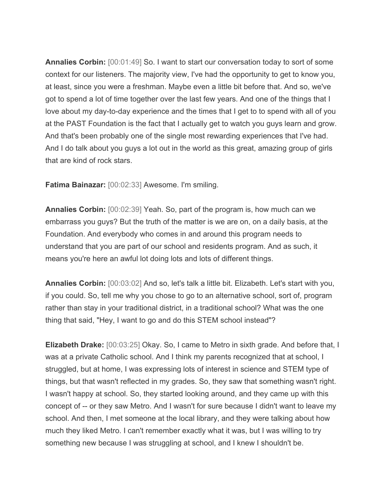**Annalies Corbin:** [00:01:49] So. I want to start our conversation today to sort of some context for our listeners. The majority view, I've had the opportunity to get to know you, at least, since you were a freshman. Maybe even a little bit before that. And so, we've got to spend a lot of time together over the last few years. And one of the things that I love about my day-to-day experience and the times that I get to to spend with all of you at the PAST Foundation is the fact that I actually get to watch you guys learn and grow. And that's been probably one of the single most rewarding experiences that I've had. And I do talk about you guys a lot out in the world as this great, amazing group of girls that are kind of rock stars.

**Fatima Bainazar:** [00:02:33] Awesome. I'm smiling.

**Annalies Corbin:** [00:02:39] Yeah. So, part of the program is, how much can we embarrass you guys? But the truth of the matter is we are on, on a daily basis, at the Foundation. And everybody who comes in and around this program needs to understand that you are part of our school and residents program. And as such, it means you're here an awful lot doing lots and lots of different things.

**Annalies Corbin:** [00:03:02] And so, let's talk a little bit. Elizabeth. Let's start with you, if you could. So, tell me why you chose to go to an alternative school, sort of, program rather than stay in your traditional district, in a traditional school? What was the one thing that said, "Hey, I want to go and do this STEM school instead"?

**Elizabeth Drake:** [00:03:25] Okay. So, I came to Metro in sixth grade. And before that, I was at a private Catholic school. And I think my parents recognized that at school, I struggled, but at home, I was expressing lots of interest in science and STEM type of things, but that wasn't reflected in my grades. So, they saw that something wasn't right. I wasn't happy at school. So, they started looking around, and they came up with this concept of -- or they saw Metro. And I wasn't for sure because I didn't want to leave my school. And then, I met someone at the local library, and they were talking about how much they liked Metro. I can't remember exactly what it was, but I was willing to try something new because I was struggling at school, and I knew I shouldn't be.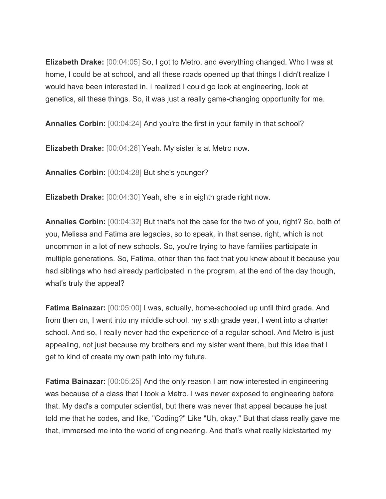**Elizabeth Drake:** [00:04:05] So, I got to Metro, and everything changed. Who I was at home, I could be at school, and all these roads opened up that things I didn't realize I would have been interested in. I realized I could go look at engineering, look at genetics, all these things. So, it was just a really game-changing opportunity for me.

**Annalies Corbin:** [00:04:24] And you're the first in your family in that school?

**Elizabeth Drake:** [00:04:26] Yeah. My sister is at Metro now.

**Annalies Corbin:** [00:04:28] But she's younger?

**Elizabeth Drake:** [00:04:30] Yeah, she is in eighth grade right now.

**Annalies Corbin:** [00:04:32] But that's not the case for the two of you, right? So, both of you, Melissa and Fatima are legacies, so to speak, in that sense, right, which is not uncommon in a lot of new schools. So, you're trying to have families participate in multiple generations. So, Fatima, other than the fact that you knew about it because you had siblings who had already participated in the program, at the end of the day though, what's truly the appeal?

**Fatima Bainazar:** [00:05:00] I was, actually, home-schooled up until third grade. And from then on, I went into my middle school, my sixth grade year, I went into a charter school. And so, I really never had the experience of a regular school. And Metro is just appealing, not just because my brothers and my sister went there, but this idea that I get to kind of create my own path into my future.

**Fatima Bainazar:** [00:05:25] And the only reason I am now interested in engineering was because of a class that I took a Metro. I was never exposed to engineering before that. My dad's a computer scientist, but there was never that appeal because he just told me that he codes, and like, "Coding?" Like "Uh, okay." But that class really gave me that, immersed me into the world of engineering. And that's what really kickstarted my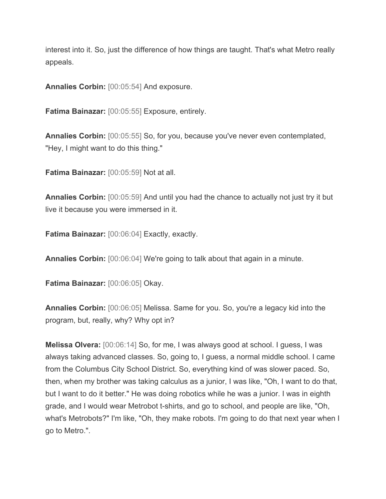interest into it. So, just the difference of how things are taught. That's what Metro really appeals.

**Annalies Corbin:** [00:05:54] And exposure.

**Fatima Bainazar:** [00:05:55] Exposure, entirely.

**Annalies Corbin:** [00:05:55] So, for you, because you've never even contemplated, "Hey, I might want to do this thing."

**Fatima Bainazar:** [00:05:59] Not at all.

**Annalies Corbin:** [00:05:59] And until you had the chance to actually not just try it but live it because you were immersed in it.

**Fatima Bainazar:** [00:06:04] Exactly, exactly.

**Annalies Corbin:** [00:06:04] We're going to talk about that again in a minute.

**Fatima Bainazar:** [00:06:05] Okay.

**Annalies Corbin:** [00:06:05] Melissa. Same for you. So, you're a legacy kid into the program, but, really, why? Why opt in?

**Melissa Olvera:** [00:06:14] So, for me, I was always good at school. I guess, I was always taking advanced classes. So, going to, I guess, a normal middle school. I came from the Columbus City School District. So, everything kind of was slower paced. So, then, when my brother was taking calculus as a junior, I was like, "Oh, I want to do that, but I want to do it better." He was doing robotics while he was a junior. I was in eighth grade, and I would wear Metrobot t-shirts, and go to school, and people are like, "Oh, what's Metrobots?" I'm like, "Oh, they make robots. I'm going to do that next year when I go to Metro.".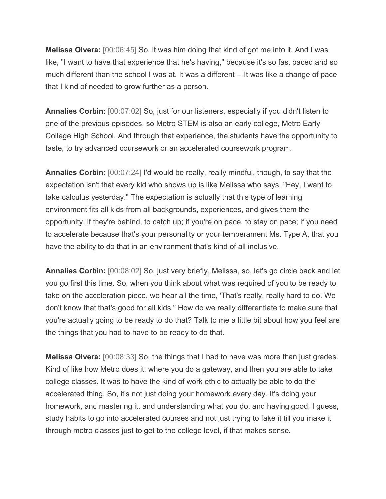**Melissa Olvera:** [00:06:45] So, it was him doing that kind of got me into it. And I was like, "I want to have that experience that he's having," because it's so fast paced and so much different than the school I was at. It was a different -- It was like a change of pace that I kind of needed to grow further as a person.

**Annalies Corbin:** [00:07:02] So, just for our listeners, especially if you didn't listen to one of the previous episodes, so Metro STEM is also an early college, Metro Early College High School. And through that experience, the students have the opportunity to taste, to try advanced coursework or an accelerated coursework program.

**Annalies Corbin:** [00:07:24] I'd would be really, really mindful, though, to say that the expectation isn't that every kid who shows up is like Melissa who says, "Hey, I want to take calculus yesterday." The expectation is actually that this type of learning environment fits all kids from all backgrounds, experiences, and gives them the opportunity, if they're behind, to catch up; if you're on pace, to stay on pace; if you need to accelerate because that's your personality or your temperament Ms. Type A, that you have the ability to do that in an environment that's kind of all inclusive.

**Annalies Corbin:** [00:08:02] So, just very briefly, Melissa, so, let's go circle back and let you go first this time. So, when you think about what was required of you to be ready to take on the acceleration piece, we hear all the time, 'That's really, really hard to do. We don't know that that's good for all kids." How do we really differentiate to make sure that you're actually going to be ready to do that? Talk to me a little bit about how you feel are the things that you had to have to be ready to do that.

**Melissa Olvera:** [00:08:33] So, the things that I had to have was more than just grades. Kind of like how Metro does it, where you do a gateway, and then you are able to take college classes. It was to have the kind of work ethic to actually be able to do the accelerated thing. So, it's not just doing your homework every day. It's doing your homework, and mastering it, and understanding what you do, and having good, I guess, study habits to go into accelerated courses and not just trying to fake it till you make it through metro classes just to get to the college level, if that makes sense.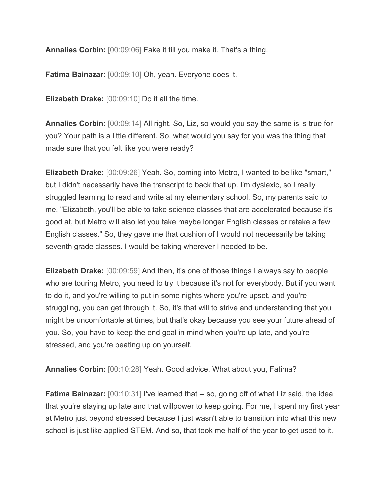**Annalies Corbin:** [00:09:06] Fake it till you make it. That's a thing.

**Fatima Bainazar:** [00:09:10] Oh, yeah. Everyone does it.

**Elizabeth Drake:** [00:09:10] Do it all the time.

**Annalies Corbin:** [00:09:14] All right. So, Liz, so would you say the same is is true for you? Your path is a little different. So, what would you say for you was the thing that made sure that you felt like you were ready?

**Elizabeth Drake:** [00:09:26] Yeah. So, coming into Metro, I wanted to be like "smart," but I didn't necessarily have the transcript to back that up. I'm dyslexic, so I really struggled learning to read and write at my elementary school. So, my parents said to me, "Elizabeth, you'll be able to take science classes that are accelerated because it's good at, but Metro will also let you take maybe longer English classes or retake a few English classes." So, they gave me that cushion of I would not necessarily be taking seventh grade classes. I would be taking wherever I needed to be.

**Elizabeth Drake:** [00:09:59] And then, it's one of those things I always say to people who are touring Metro, you need to try it because it's not for everybody. But if you want to do it, and you're willing to put in some nights where you're upset, and you're struggling, you can get through it. So, it's that will to strive and understanding that you might be uncomfortable at times, but that's okay because you see your future ahead of you. So, you have to keep the end goal in mind when you're up late, and you're stressed, and you're beating up on yourself.

**Annalies Corbin:** [00:10:28] Yeah. Good advice. What about you, Fatima?

**Fatima Bainazar:** [00:10:31] I've learned that -- so, going off of what Liz said, the idea that you're staying up late and that willpower to keep going. For me, I spent my first year at Metro just beyond stressed because I just wasn't able to transition into what this new school is just like applied STEM. And so, that took me half of the year to get used to it.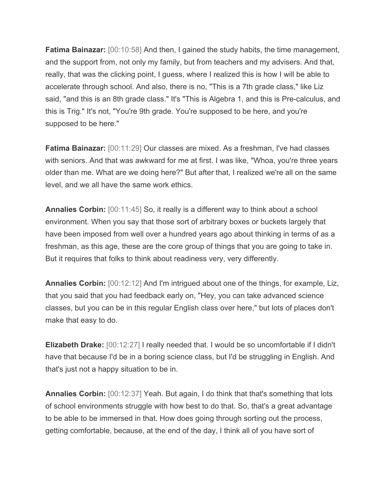**Fatima Bainazar:** [00:10:58] And then, I gained the study habits, the time management, and the support from, not only my family, but from teachers and my advisers. And that, really, that was the clicking point, I guess, where I realized this is how I will be able to accelerate through school. And also, there is no, "This is a 7th grade class," like Liz said, "and this is an 8th grade class." It's "This is Algebra 1, and this is Pre-calculus, and this is Trig." It's not, "You're 9th grade. You're supposed to be here, and you're supposed to be here."

**Fatima Bainazar:** [00:11:29] Our classes are mixed. As a freshman, I've had classes with seniors. And that was awkward for me at first. I was like, "Whoa, you're three years older than me. What are we doing here?" But after that, I realized we're all on the same level, and we all have the same work ethics.

**Annalies Corbin:** [00:11:45] So, it really is a different way to think about a school environment. When you say that those sort of arbitrary boxes or buckets largely that have been imposed from well over a hundred years ago about thinking in terms of as a freshman, as this age, these are the core group of things that you are going to take in. But it requires that folks to think about readiness very, very differently.

**Annalies Corbin:** [00:12:12] And I'm intrigued about one of the things, for example, Liz, that you said that you had feedback early on, "Hey, you can take advanced science classes, but you can be in this regular English class over here," but lots of places don't make that easy to do.

**Elizabeth Drake:** [00:12:27] I really needed that. I would be so uncomfortable if I didn't have that because I'd be in a boring science class, but I'd be struggling in English. And that's just not a happy situation to be in.

**Annalies Corbin:** [00:12:37] Yeah. But again, I do think that that's something that lots of school environments struggle with how best to do that. So, that's a great advantage to be able to be immersed in that. How does going through sorting out the process, getting comfortable, because, at the end of the day, I think all of you have sort of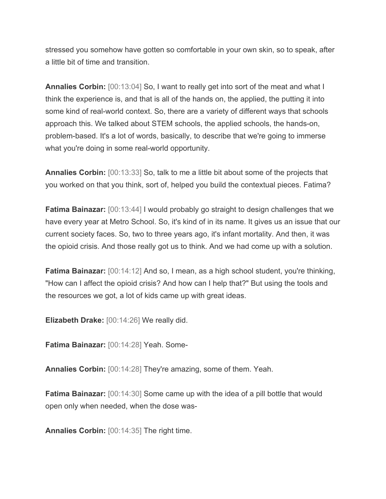stressed you somehow have gotten so comfortable in your own skin, so to speak, after a little bit of time and transition.

**Annalies Corbin:** [00:13:04] So, I want to really get into sort of the meat and what I think the experience is, and that is all of the hands on, the applied, the putting it into some kind of real-world context. So, there are a variety of different ways that schools approach this. We talked about STEM schools, the applied schools, the hands-on, problem-based. It's a lot of words, basically, to describe that we're going to immerse what you're doing in some real-world opportunity.

**Annalies Corbin:** [00:13:33] So, talk to me a little bit about some of the projects that you worked on that you think, sort of, helped you build the contextual pieces. Fatima?

**Fatima Bainazar:** [00:13:44] I would probably go straight to design challenges that we have every year at Metro School. So, it's kind of in its name. It gives us an issue that our current society faces. So, two to three years ago, it's infant mortality. And then, it was the opioid crisis. And those really got us to think. And we had come up with a solution.

**Fatima Bainazar:** [00:14:12] And so, I mean, as a high school student, you're thinking, "How can I affect the opioid crisis? And how can I help that?" But using the tools and the resources we got, a lot of kids came up with great ideas.

**Elizabeth Drake:** [00:14:26] We really did.

**Fatima Bainazar:** [00:14:28] Yeah. Some-

**Annalies Corbin:** [00:14:28] They're amazing, some of them. Yeah.

**Fatima Bainazar:** [00:14:30] Some came up with the idea of a pill bottle that would open only when needed, when the dose was-

**Annalies Corbin:** [00:14:35] The right time.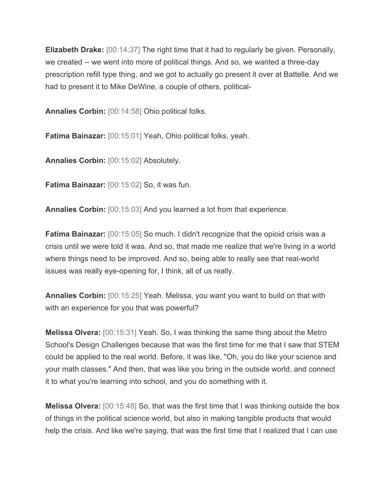**Elizabeth Drake:** [00:14:37] The right time that it had to regularly be given. Personally, we created -- we went into more of political things. And so, we wanted a three-day prescription refill type thing, and we got to actually go present it over at Battelle. And we had to present it to Mike DeWine, a couple of others, political-

**Annalies Corbin:** [00:14:58] Ohio political folks.

**Fatima Bainazar:** [00:15:01] Yeah, Ohio political folks, yeah.

**Annalies Corbin:** [00:15:02] Absolutely.

**Fatima Bainazar:** [00:15:02] So, it was fun.

**Annalies Corbin:** [00:15:03] And you learned a lot from that experience.

**Fatima Bainazar:** [00:15:05] So much. I didn't recognize that the opioid crisis was a crisis until we were told it was. And so, that made me realize that we're living in a world where things need to be improved. And so, being able to really see that real-world issues was really eye-opening for, I think, all of us really.

**Annalies Corbin:** [00:15:25] Yeah. Melissa, you want you want to build on that with with an experience for you that was powerful?

**Melissa Olvera:** [00:15:31] Yeah. So, I was thinking the same thing about the Metro School's Design Challenges because that was the first time for me that I saw that STEM could be applied to the real world. Before, it was like, "Oh, you do like your science and your math classes." And then, that was like you bring in the outside world, and connect it to what you're learning into school, and you do something with it.

**Melissa Olvera:** [00:15:48] So, that was the first time that I was thinking outside the box of things in the political science world, but also in making tangible products that would help the crisis. And like we're saying, that was the first time that I realized that I can use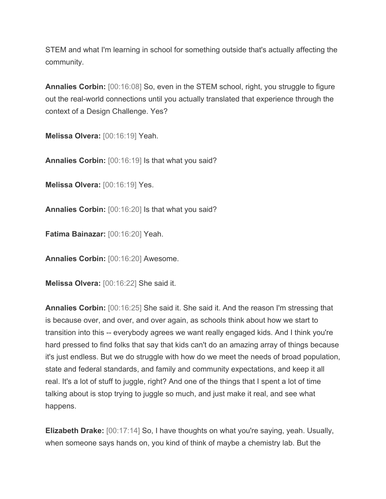STEM and what I'm learning in school for something outside that's actually affecting the community.

**Annalies Corbin:**  $[00:16:08]$  So, even in the STEM school, right, you struggle to figure out the real-world connections until you actually translated that experience through the context of a Design Challenge. Yes?

**Melissa Olvera:** [00:16:19] Yeah.

**Annalies Corbin:** [00:16:19] Is that what you said?

**Melissa Olvera:** [00:16:19] Yes.

**Annalies Corbin:** [00:16:20] Is that what you said?

**Fatima Bainazar:** [00:16:20] Yeah.

**Annalies Corbin:** [00:16:20] Awesome.

**Melissa Olvera:** [00:16:22] She said it.

**Annalies Corbin:** [00:16:25] She said it. She said it. And the reason I'm stressing that is because over, and over, and over again, as schools think about how we start to transition into this -- everybody agrees we want really engaged kids. And I think you're hard pressed to find folks that say that kids can't do an amazing array of things because it's just endless. But we do struggle with how do we meet the needs of broad population, state and federal standards, and family and community expectations, and keep it all real. It's a lot of stuff to juggle, right? And one of the things that I spent a lot of time talking about is stop trying to juggle so much, and just make it real, and see what happens.

**Elizabeth Drake:** [00:17:14] So, I have thoughts on what you're saying, yeah. Usually, when someone says hands on, you kind of think of maybe a chemistry lab. But the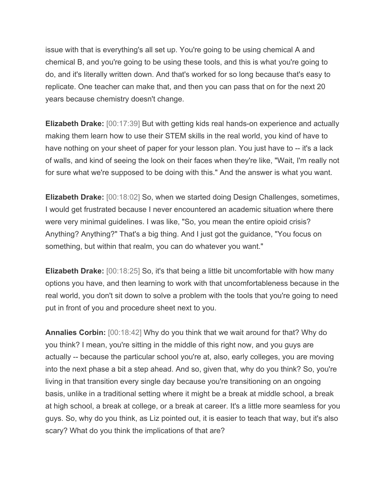issue with that is everything's all set up. You're going to be using chemical A and chemical B, and you're going to be using these tools, and this is what you're going to do, and it's literally written down. And that's worked for so long because that's easy to replicate. One teacher can make that, and then you can pass that on for the next 20 years because chemistry doesn't change.

**Elizabeth Drake:** [00:17:39] But with getting kids real hands-on experience and actually making them learn how to use their STEM skills in the real world, you kind of have to have nothing on your sheet of paper for your lesson plan. You just have to -- it's a lack of walls, and kind of seeing the look on their faces when they're like, "Wait, I'm really not for sure what we're supposed to be doing with this." And the answer is what you want.

**Elizabeth Drake:** [00:18:02] So, when we started doing Design Challenges, sometimes, I would get frustrated because I never encountered an academic situation where there were very minimal guidelines. I was like, "So, you mean the entire opioid crisis? Anything? Anything?" That's a big thing. And I just got the guidance, "You focus on something, but within that realm, you can do whatever you want."

**Elizabeth Drake:** [00:18:25] So, it's that being a little bit uncomfortable with how many options you have, and then learning to work with that uncomfortableness because in the real world, you don't sit down to solve a problem with the tools that you're going to need put in front of you and procedure sheet next to you.

**Annalies Corbin:** [00:18:42] Why do you think that we wait around for that? Why do you think? I mean, you're sitting in the middle of this right now, and you guys are actually -- because the particular school you're at, also, early colleges, you are moving into the next phase a bit a step ahead. And so, given that, why do you think? So, you're living in that transition every single day because you're transitioning on an ongoing basis, unlike in a traditional setting where it might be a break at middle school, a break at high school, a break at college, or a break at career. It's a little more seamless for you guys. So, why do you think, as Liz pointed out, it is easier to teach that way, but it's also scary? What do you think the implications of that are?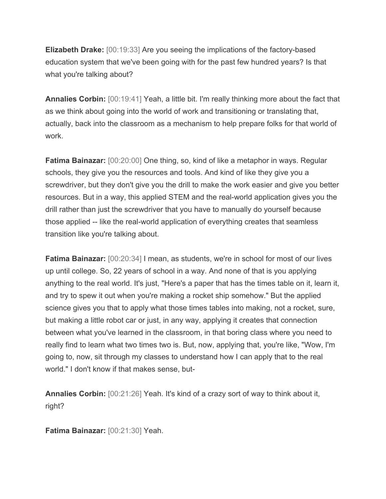**Elizabeth Drake:** [00:19:33] Are you seeing the implications of the factory-based education system that we've been going with for the past few hundred years? Is that what you're talking about?

**Annalies Corbin:** [00:19:41] Yeah, a little bit. I'm really thinking more about the fact that as we think about going into the world of work and transitioning or translating that, actually, back into the classroom as a mechanism to help prepare folks for that world of work.

**Fatima Bainazar:** [00:20:00] One thing, so, kind of like a metaphor in ways. Regular schools, they give you the resources and tools. And kind of like they give you a screwdriver, but they don't give you the drill to make the work easier and give you better resources. But in a way, this applied STEM and the real-world application gives you the drill rather than just the screwdriver that you have to manually do yourself because those applied -- like the real-world application of everything creates that seamless transition like you're talking about.

**Fatima Bainazar:** [00:20:34] I mean, as students, we're in school for most of our lives up until college. So, 22 years of school in a way. And none of that is you applying anything to the real world. It's just, "Here's a paper that has the times table on it, learn it, and try to spew it out when you're making a rocket ship somehow." But the applied science gives you that to apply what those times tables into making, not a rocket, sure, but making a little robot car or just, in any way, applying it creates that connection between what you've learned in the classroom, in that boring class where you need to really find to learn what two times two is. But, now, applying that, you're like, "Wow, I'm going to, now, sit through my classes to understand how I can apply that to the real world." I don't know if that makes sense, but-

**Annalies Corbin:** [00:21:26] Yeah. It's kind of a crazy sort of way to think about it, right?

**Fatima Bainazar:** [00:21:30] Yeah.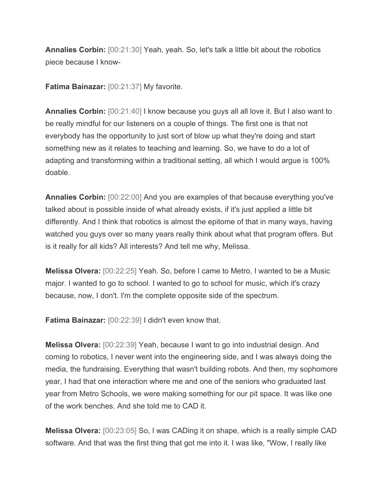**Annalies Corbin:** [00:21:30] Yeah, yeah. So, let's talk a little bit about the robotics piece because I know-

**Fatima Bainazar:** [00:21:37] My favorite.

**Annalies Corbin:** [00:21:40] I know because you guys all all love it. But I also want to be really mindful for our listeners on a couple of things. The first one is that not everybody has the opportunity to just sort of blow up what they're doing and start something new as it relates to teaching and learning. So, we have to do a lot of adapting and transforming within a traditional setting, all which I would argue is 100% doable.

**Annalies Corbin:** [00:22:00] And you are examples of that because everything you've talked about is possible inside of what already exists, if it's just applied a little bit differently. And I think that robotics is almost the epitome of that in many ways, having watched you guys over so many years really think about what that program offers. But is it really for all kids? All interests? And tell me why, Melissa.

**Melissa Olvera:** [00:22:25] Yeah. So, before I came to Metro, I wanted to be a Music major. I wanted to go to school. I wanted to go to school for music, which it's crazy because, now, I don't. I'm the complete opposite side of the spectrum.

**Fatima Bainazar:** [00:22:39] I didn't even know that.

**Melissa Olvera:** [00:22:39] Yeah, because I want to go into industrial design. And coming to robotics, I never went into the engineering side, and I was always doing the media, the fundraising. Everything that wasn't building robots. And then, my sophomore year, I had that one interaction where me and one of the seniors who graduated last year from Metro Schools, we were making something for our pit space. It was like one of the work benches. And she told me to CAD it.

**Melissa Olvera:** [00:23:05] So, I was CADing it on shape, which is a really simple CAD software. And that was the first thing that got me into it. I was like, "Wow, I really like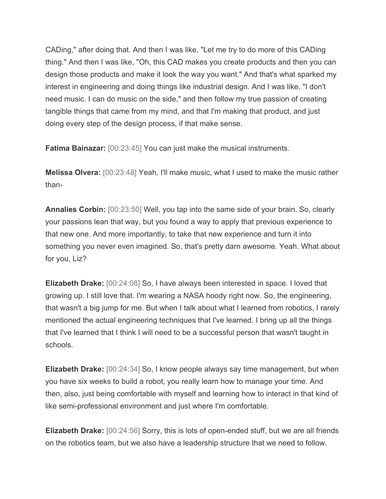CADing," after doing that. And then I was like, "Let me try to do more of this CADing thing." And then I was like, "Oh, this CAD makes you create products and then you can design those products and make it look the way you want." And that's what sparked my interest in engineering and doing things like industrial design. And I was like, "I don't need music. I can do music on the side," and then follow my true passion of creating tangible things that came from my mind, and that I'm making that product, and just doing every step of the design process, if that make sense.

**Fatima Bainazar:** [00:23:45] You can just make the musical instruments.

**Melissa Olvera:** [00:23:48] Yeah, I'll make music, what I used to make the music rather than-

**Annalies Corbin:** [00:23:50] Well, you tap into the same side of your brain. So, clearly your passions lean that way, but you found a way to apply that previous experience to that new one. And more importantly, to take that new experience and turn it into something you never even imagined. So, that's pretty darn awesome. Yeah. What about for you, Liz?

**Elizabeth Drake:** [00:24:08] So, I have always been interested in space. I loved that growing up. I still love that. I'm wearing a NASA hoody right now. So, the engineering, that wasn't a big jump for me. But when I talk about what I learned from robotics, I rarely mentioned the actual engineering techniques that I've learned. I bring up all the things that I've learned that I think I will need to be a successful person that wasn't taught in schools.

**Elizabeth Drake:** [00:24:34] So, I know people always say time management, but when you have six weeks to build a robot, you really learn how to manage your time. And then, also, just being comfortable with myself and learning how to interact in that kind of like semi-professional environment and just where I'm comfortable.

**Elizabeth Drake:** [00:24:56] Sorry, this is lots of open-ended stuff, but we are all friends on the robotics team, but we also have a leadership structure that we need to follow.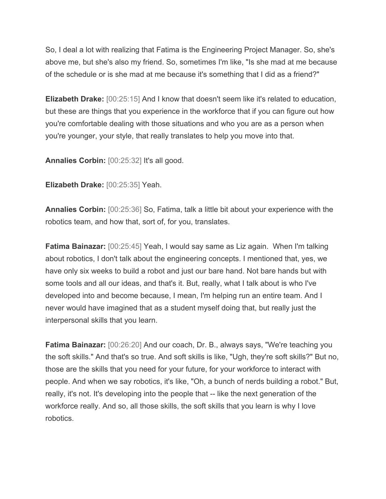So, I deal a lot with realizing that Fatima is the Engineering Project Manager. So, she's above me, but she's also my friend. So, sometimes I'm like, "Is she mad at me because of the schedule or is she mad at me because it's something that I did as a friend?"

**Elizabeth Drake:** [00:25:15] And I know that doesn't seem like it's related to education, but these are things that you experience in the workforce that if you can figure out how you're comfortable dealing with those situations and who you are as a person when you're younger, your style, that really translates to help you move into that.

**Annalies Corbin:** [00:25:32] It's all good.

**Elizabeth Drake:** [00:25:35] Yeah.

**Annalies Corbin:** [00:25:36] So, Fatima, talk a little bit about your experience with the robotics team, and how that, sort of, for you, translates.

**Fatima Bainazar:** [00:25:45] Yeah, I would say same as Liz again. When I'm talking about robotics, I don't talk about the engineering concepts. I mentioned that, yes, we have only six weeks to build a robot and just our bare hand. Not bare hands but with some tools and all our ideas, and that's it. But, really, what I talk about is who I've developed into and become because, I mean, I'm helping run an entire team. And I never would have imagined that as a student myself doing that, but really just the interpersonal skills that you learn.

**Fatima Bainazar:** [00:26:20] And our coach, Dr. B., always says, "We're teaching you the soft skills." And that's so true. And soft skills is like, "Ugh, they're soft skills?" But no, those are the skills that you need for your future, for your workforce to interact with people. And when we say robotics, it's like, "Oh, a bunch of nerds building a robot." But, really, it's not. It's developing into the people that -- like the next generation of the workforce really. And so, all those skills, the soft skills that you learn is why I love robotics.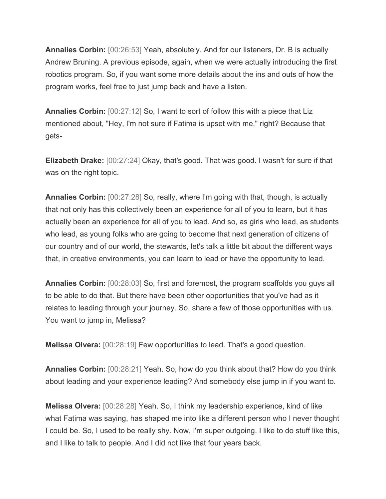**Annalies Corbin:** [00:26:53] Yeah, absolutely. And for our listeners, Dr. B is actually Andrew Bruning. A previous episode, again, when we were actually introducing the first robotics program. So, if you want some more details about the ins and outs of how the program works, feel free to just jump back and have a listen.

**Annalies Corbin:** [00:27:12] So, I want to sort of follow this with a piece that Liz mentioned about, "Hey, I'm not sure if Fatima is upset with me," right? Because that gets-

**Elizabeth Drake:** [00:27:24] Okay, that's good. That was good. I wasn't for sure if that was on the right topic.

**Annalies Corbin:** [00:27:28] So, really, where I'm going with that, though, is actually that not only has this collectively been an experience for all of you to learn, but it has actually been an experience for all of you to lead. And so, as girls who lead, as students who lead, as young folks who are going to become that next generation of citizens of our country and of our world, the stewards, let's talk a little bit about the different ways that, in creative environments, you can learn to lead or have the opportunity to lead.

**Annalies Corbin:** [00:28:03] So, first and foremost, the program scaffolds you guys all to be able to do that. But there have been other opportunities that you've had as it relates to leading through your journey. So, share a few of those opportunities with us. You want to jump in, Melissa?

**Melissa Olvera:** [00:28:19] Few opportunities to lead. That's a good question.

**Annalies Corbin:** [00:28:21] Yeah. So, how do you think about that? How do you think about leading and your experience leading? And somebody else jump in if you want to.

**Melissa Olvera:** [00:28:28] Yeah. So, I think my leadership experience, kind of like what Fatima was saying, has shaped me into like a different person who I never thought I could be. So, I used to be really shy. Now, I'm super outgoing. I like to do stuff like this, and I like to talk to people. And I did not like that four years back.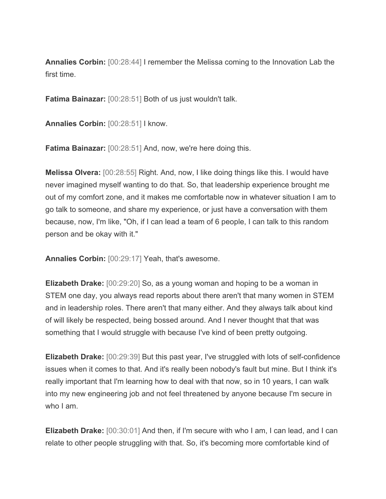**Annalies Corbin:** [00:28:44] I remember the Melissa coming to the Innovation Lab the first time.

**Fatima Bainazar:** [00:28:51] Both of us just wouldn't talk.

**Annalies Corbin:** [00:28:51] I know.

**Fatima Bainazar:** [00:28:51] And, now, we're here doing this.

**Melissa Olvera:** [00:28:55] Right. And, now, I like doing things like this. I would have never imagined myself wanting to do that. So, that leadership experience brought me out of my comfort zone, and it makes me comfortable now in whatever situation I am to go talk to someone, and share my experience, or just have a conversation with them because, now, I'm like, "Oh, if I can lead a team of 6 people, I can talk to this random person and be okay with it."

**Annalies Corbin:** [00:29:17] Yeah, that's awesome.

**Elizabeth Drake:** [00:29:20] So, as a young woman and hoping to be a woman in STEM one day, you always read reports about there aren't that many women in STEM and in leadership roles. There aren't that many either. And they always talk about kind of will likely be respected, being bossed around. And I never thought that that was something that I would struggle with because I've kind of been pretty outgoing.

**Elizabeth Drake:** [00:29:39] But this past year, I've struggled with lots of self-confidence issues when it comes to that. And it's really been nobody's fault but mine. But I think it's really important that I'm learning how to deal with that now, so in 10 years, I can walk into my new engineering job and not feel threatened by anyone because I'm secure in who I am.

**Elizabeth Drake:** [00:30:01] And then, if I'm secure with who I am, I can lead, and I can relate to other people struggling with that. So, it's becoming more comfortable kind of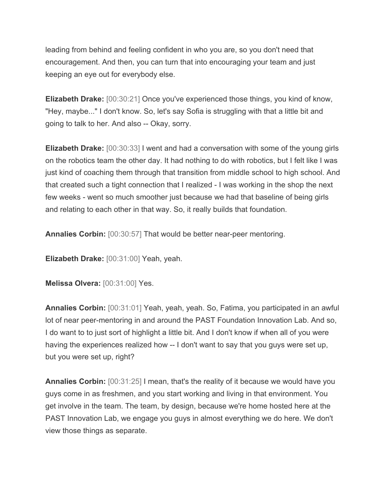leading from behind and feeling confident in who you are, so you don't need that encouragement. And then, you can turn that into encouraging your team and just keeping an eye out for everybody else.

**Elizabeth Drake:** [00:30:21] Once you've experienced those things, you kind of know, "Hey, maybe..." I don't know. So, let's say Sofia is struggling with that a little bit and going to talk to her. And also -- Okay, sorry.

**Elizabeth Drake:** [00:30:33] I went and had a conversation with some of the young girls on the robotics team the other day. It had nothing to do with robotics, but I felt like I was just kind of coaching them through that transition from middle school to high school. And that created such a tight connection that I realized - I was working in the shop the next few weeks - went so much smoother just because we had that baseline of being girls and relating to each other in that way. So, it really builds that foundation.

**Annalies Corbin:** [00:30:57] That would be better near-peer mentoring.

**Elizabeth Drake:** [00:31:00] Yeah, yeah.

**Melissa Olvera:** [00:31:00] Yes.

**Annalies Corbin:** [00:31:01] Yeah, yeah, yeah. So, Fatima, you participated in an awful lot of near peer-mentoring in and around the PAST Foundation Innovation Lab. And so, I do want to to just sort of highlight a little bit. And I don't know if when all of you were having the experiences realized how -- I don't want to say that you guys were set up, but you were set up, right?

**Annalies Corbin:** [00:31:25] I mean, that's the reality of it because we would have you guys come in as freshmen, and you start working and living in that environment. You get involve in the team. The team, by design, because we're home hosted here at the PAST Innovation Lab, we engage you guys in almost everything we do here. We don't view those things as separate.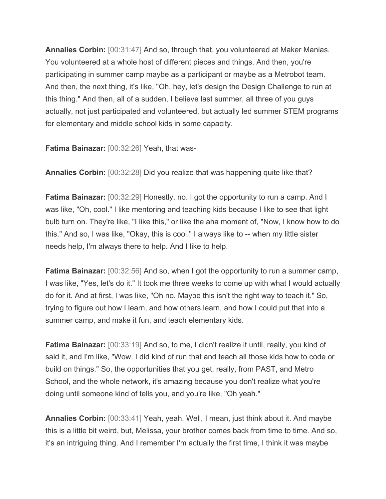**Annalies Corbin:** [00:31:47] And so, through that, you volunteered at Maker Manias. You volunteered at a whole host of different pieces and things. And then, you're participating in summer camp maybe as a participant or maybe as a Metrobot team. And then, the next thing, it's like, "Oh, hey, let's design the Design Challenge to run at this thing." And then, all of a sudden, I believe last summer, all three of you guys actually, not just participated and volunteered, but actually led summer STEM programs for elementary and middle school kids in some capacity.

**Fatima Bainazar:** [00:32:26] Yeah, that was-

**Annalies Corbin:** [00:32:28] Did you realize that was happening quite like that?

**Fatima Bainazar:** [00:32:29] Honestly, no. I got the opportunity to run a camp. And I was like, "Oh, cool." I like mentoring and teaching kids because I like to see that light bulb turn on. They're like, "I like this," or like the aha moment of, "Now, I know how to do this." And so, I was like, "Okay, this is cool." I always like to -- when my little sister needs help, I'm always there to help. And I like to help.

**Fatima Bainazar:** [00:32:56] And so, when I got the opportunity to run a summer camp, I was like, "Yes, let's do it." It took me three weeks to come up with what I would actually do for it. And at first, I was like, "Oh no. Maybe this isn't the right way to teach it." So, trying to figure out how I learn, and how others learn, and how I could put that into a summer camp, and make it fun, and teach elementary kids.

**Fatima Bainazar:** [00:33:19] And so, to me, I didn't realize it until, really, you kind of said it, and I'm like, "Wow. I did kind of run that and teach all those kids how to code or build on things." So, the opportunities that you get, really, from PAST, and Metro School, and the whole network, it's amazing because you don't realize what you're doing until someone kind of tells you, and you're like, "Oh yeah."

**Annalies Corbin:** [00:33:41] Yeah, yeah. Well, I mean, just think about it. And maybe this is a little bit weird, but, Melissa, your brother comes back from time to time. And so, it's an intriguing thing. And I remember I'm actually the first time, I think it was maybe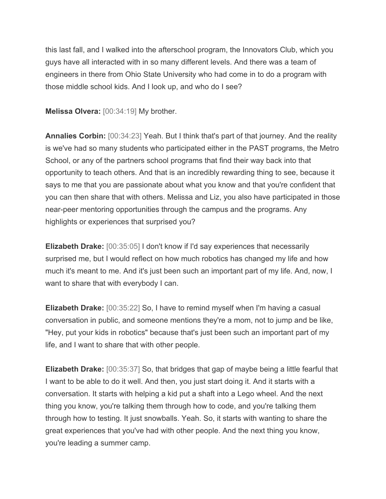this last fall, and I walked into the afterschool program, the Innovators Club, which you guys have all interacted with in so many different levels. And there was a team of engineers in there from Ohio State University who had come in to do a program with those middle school kids. And I look up, and who do I see?

**Melissa Olvera:** [00:34:19] My brother.

**Annalies Corbin:** [00:34:23] Yeah. But I think that's part of that journey. And the reality is we've had so many students who participated either in the PAST programs, the Metro School, or any of the partners school programs that find their way back into that opportunity to teach others. And that is an incredibly rewarding thing to see, because it says to me that you are passionate about what you know and that you're confident that you can then share that with others. Melissa and Liz, you also have participated in those near-peer mentoring opportunities through the campus and the programs. Any highlights or experiences that surprised you?

**Elizabeth Drake:** [00:35:05] I don't know if I'd say experiences that necessarily surprised me, but I would reflect on how much robotics has changed my life and how much it's meant to me. And it's just been such an important part of my life. And, now, I want to share that with everybody I can.

**Elizabeth Drake:** [00:35:22] So, I have to remind myself when I'm having a casual conversation in public, and someone mentions they're a mom, not to jump and be like, "Hey, put your kids in robotics" because that's just been such an important part of my life, and I want to share that with other people.

**Elizabeth Drake:** [00:35:37] So, that bridges that gap of maybe being a little fearful that I want to be able to do it well. And then, you just start doing it. And it starts with a conversation. It starts with helping a kid put a shaft into a Lego wheel. And the next thing you know, you're talking them through how to code, and you're talking them through how to testing. It just snowballs. Yeah. So, it starts with wanting to share the great experiences that you've had with other people. And the next thing you know, you're leading a summer camp.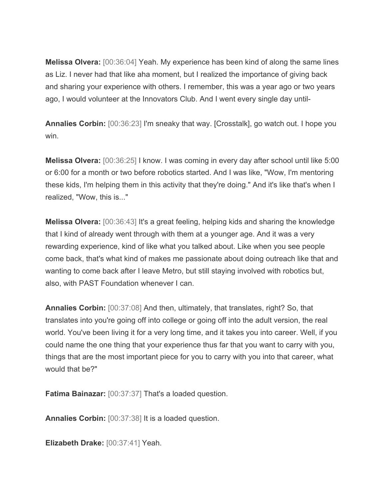**Melissa Olvera:** [00:36:04] Yeah. My experience has been kind of along the same lines as Liz. I never had that like aha moment, but I realized the importance of giving back and sharing your experience with others. I remember, this was a year ago or two years ago, I would volunteer at the Innovators Club. And I went every single day until-

**Annalies Corbin:** [00:36:23] I'm sneaky that way. [Crosstalk], go watch out. I hope you win.

**Melissa Olvera:** [00:36:25] I know. I was coming in every day after school until like 5:00 or 6:00 for a month or two before robotics started. And I was like, "Wow, I'm mentoring these kids, I'm helping them in this activity that they're doing." And it's like that's when I realized, "Wow, this is..."

**Melissa Olvera:** [00:36:43] It's a great feeling, helping kids and sharing the knowledge that I kind of already went through with them at a younger age. And it was a very rewarding experience, kind of like what you talked about. Like when you see people come back, that's what kind of makes me passionate about doing outreach like that and wanting to come back after I leave Metro, but still staying involved with robotics but, also, with PAST Foundation whenever I can.

**Annalies Corbin:** [00:37:08] And then, ultimately, that translates, right? So, that translates into you're going off into college or going off into the adult version, the real world. You've been living it for a very long time, and it takes you into career. Well, if you could name the one thing that your experience thus far that you want to carry with you, things that are the most important piece for you to carry with you into that career, what would that be?"

**Fatima Bainazar:** [00:37:37] That's a loaded question.

**Annalies Corbin:** [00:37:38] It is a loaded question.

**Elizabeth Drake:** [00:37:41] Yeah.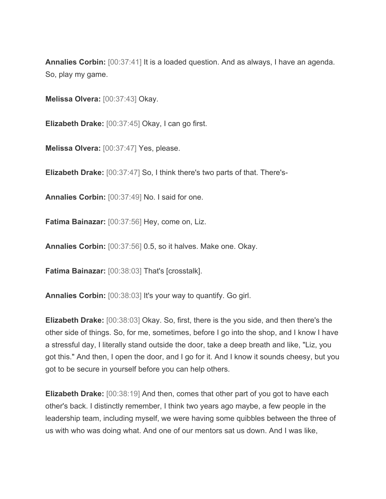**Annalies Corbin:** [00:37:41] It is a loaded question. And as always, I have an agenda. So, play my game.

**Melissa Olvera:** [00:37:43] Okay.

**Elizabeth Drake:** [00:37:45] Okay, I can go first.

**Melissa Olvera:** [00:37:47] Yes, please.

**Elizabeth Drake:** [00:37:47] So, I think there's two parts of that. There's-

**Annalies Corbin:** [00:37:49] No. I said for one.

**Fatima Bainazar:** [00:37:56] Hey, come on, Liz.

**Annalies Corbin:** [00:37:56] 0.5, so it halves. Make one. Okay.

**Fatima Bainazar:** [00:38:03] That's [crosstalk].

**Annalies Corbin:** [00:38:03] It's your way to quantify. Go girl.

**Elizabeth Drake:** [00:38:03] Okay. So, first, there is the you side, and then there's the other side of things. So, for me, sometimes, before I go into the shop, and I know I have a stressful day, I literally stand outside the door, take a deep breath and like, "Liz, you got this." And then, I open the door, and I go for it. And I know it sounds cheesy, but you got to be secure in yourself before you can help others.

**Elizabeth Drake:** [00:38:19] And then, comes that other part of you got to have each other's back. I distinctly remember, I think two years ago maybe, a few people in the leadership team, including myself, we were having some quibbles between the three of us with who was doing what. And one of our mentors sat us down. And I was like,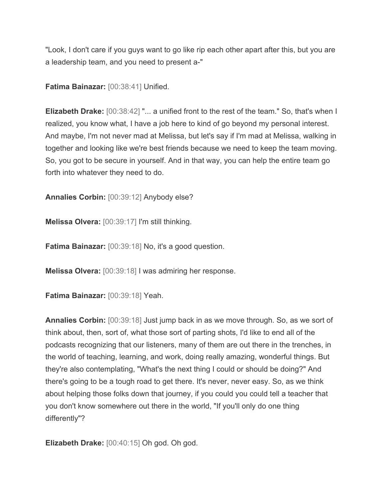"Look, I don't care if you guys want to go like rip each other apart after this, but you are a leadership team, and you need to present a-"

**Fatima Bainazar:** [00:38:41] Unified.

**Elizabeth Drake:**  $[00:38:42]$  "... a unified front to the rest of the team." So, that's when I realized, you know what, I have a job here to kind of go beyond my personal interest. And maybe, I'm not never mad at Melissa, but let's say if I'm mad at Melissa, walking in together and looking like we're best friends because we need to keep the team moving. So, you got to be secure in yourself. And in that way, you can help the entire team go forth into whatever they need to do.

**Annalies Corbin:** [00:39:12] Anybody else?

**Melissa Olvera:** [00:39:17] I'm still thinking.

**Fatima Bainazar:** [00:39:18] No, it's a good question.

**Melissa Olvera:** [00:39:18] I was admiring her response.

**Fatima Bainazar:** [00:39:18] Yeah.

**Annalies Corbin:** [00:39:18] Just jump back in as we move through. So, as we sort of think about, then, sort of, what those sort of parting shots, I'd like to end all of the podcasts recognizing that our listeners, many of them are out there in the trenches, in the world of teaching, learning, and work, doing really amazing, wonderful things. But they're also contemplating, "What's the next thing I could or should be doing?" And there's going to be a tough road to get there. It's never, never easy. So, as we think about helping those folks down that journey, if you could you could tell a teacher that you don't know somewhere out there in the world, "If you'll only do one thing differently"?

**Elizabeth Drake:** [00:40:15] Oh god. Oh god.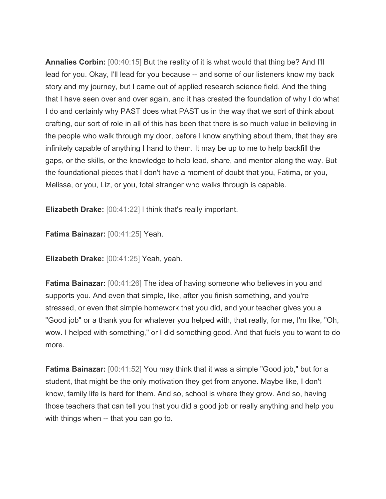**Annalies Corbin:** [00:40:15] But the reality of it is what would that thing be? And I'll lead for you. Okay, I'll lead for you because -- and some of our listeners know my back story and my journey, but I came out of applied research science field. And the thing that I have seen over and over again, and it has created the foundation of why I do what I do and certainly why PAST does what PAST us in the way that we sort of think about crafting, our sort of role in all of this has been that there is so much value in believing in the people who walk through my door, before I know anything about them, that they are infinitely capable of anything I hand to them. It may be up to me to help backfill the gaps, or the skills, or the knowledge to help lead, share, and mentor along the way. But the foundational pieces that I don't have a moment of doubt that you, Fatima, or you, Melissa, or you, Liz, or you, total stranger who walks through is capable.

**Elizabeth Drake:** [00:41:22] I think that's really important.

**Fatima Bainazar:** [00:41:25] Yeah.

**Elizabeth Drake:** [00:41:25] Yeah, yeah.

**Fatima Bainazar:** [00:41:26] The idea of having someone who believes in you and supports you. And even that simple, like, after you finish something, and you're stressed, or even that simple homework that you did, and your teacher gives you a "Good job" or a thank you for whatever you helped with, that really, for me, I'm like, "Oh, wow. I helped with something," or I did something good. And that fuels you to want to do more.

**Fatima Bainazar:** [00:41:52] You may think that it was a simple "Good job," but for a student, that might be the only motivation they get from anyone. Maybe like, I don't know, family life is hard for them. And so, school is where they grow. And so, having those teachers that can tell you that you did a good job or really anything and help you with things when -- that you can go to.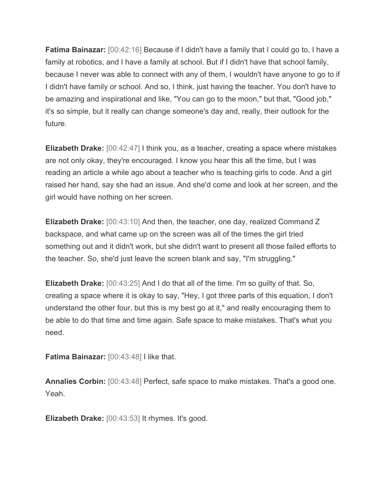**Fatima Bainazar:** [00:42:16] Because if I didn't have a family that I could go to, I have a family at robotics, and I have a family at school. But if I didn't have that school family, because I never was able to connect with any of them, I wouldn't have anyone to go to if I didn't have family or school. And so, I think, just having the teacher. You don't have to be amazing and inspirational and like, "You can go to the moon," but that, "Good job," it's so simple, but it really can change someone's day and, really, their outlook for the future.

**Elizabeth Drake:** [00:42:47] I think you, as a teacher, creating a space where mistakes are not only okay, they're encouraged. I know you hear this all the time, but I was reading an article a while ago about a teacher who is teaching girls to code. And a girl raised her hand, say she had an issue. And she'd come and look at her screen, and the girl would have nothing on her screen.

**Elizabeth Drake:** [00:43:10] And then, the teacher, one day, realized Command Z backspace, and what came up on the screen was all of the times the girl tried something out and it didn't work, but she didn't want to present all those failed efforts to the teacher. So, she'd just leave the screen blank and say, "I'm struggling."

**Elizabeth Drake:** [00:43:25] And I do that all of the time. I'm so guilty of that. So, creating a space where it is okay to say, "Hey, I got three parts of this equation, I don't understand the other four, but this is my best go at it," and really encouraging them to be able to do that time and time again. Safe space to make mistakes. That's what you need.

**Fatima Bainazar:** [00:43:48] I like that.

**Annalies Corbin:** [00:43:48] Perfect, safe space to make mistakes. That's a good one. Yeah.

**Elizabeth Drake:** [00:43:53] It rhymes. It's good.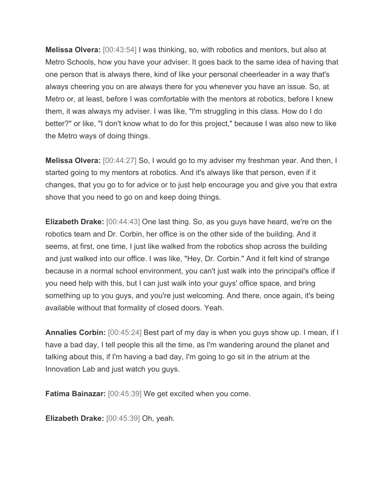**Melissa Olvera:** [00:43:54] I was thinking, so, with robotics and mentors, but also at Metro Schools, how you have your adviser. It goes back to the same idea of having that one person that is always there, kind of like your personal cheerleader in a way that's always cheering you on are always there for you whenever you have an issue. So, at Metro or, at least, before I was comfortable with the mentors at robotics, before I knew them, it was always my adviser. I was like, "I'm struggling in this class. How do I do better?" or like, "I don't know what to do for this project," because I was also new to like the Metro ways of doing things.

**Melissa Olvera:** [00:44:27] So, I would go to my adviser my freshman year. And then, I started going to my mentors at robotics. And it's always like that person, even if it changes, that you go to for advice or to just help encourage you and give you that extra shove that you need to go on and keep doing things.

**Elizabeth Drake:** [00:44:43] One last thing. So, as you guys have heard, we're on the robotics team and Dr. Corbin, her office is on the other side of the building. And it seems, at first, one time, I just like walked from the robotics shop across the building and just walked into our office. I was like, "Hey, Dr. Corbin." And it felt kind of strange because in a normal school environment, you can't just walk into the principal's office if you need help with this, but I can just walk into your guys' office space, and bring something up to you guys, and you're just welcoming. And there, once again, it's being available without that formality of closed doors. Yeah.

**Annalies Corbin:** [00:45:24] Best part of my day is when you guys show up. I mean, if I have a bad day, I tell people this all the time, as I'm wandering around the planet and talking about this, if I'm having a bad day, I'm going to go sit in the atrium at the Innovation Lab and just watch you guys.

**Fatima Bainazar:** [00:45:39] We get excited when you come.

**Elizabeth Drake:** [00:45:39] Oh, yeah.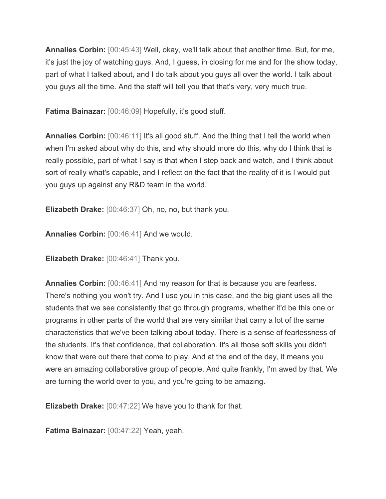**Annalies Corbin:** [00:45:43] Well, okay, we'll talk about that another time. But, for me, it's just the joy of watching guys. And, I guess, in closing for me and for the show today, part of what I talked about, and I do talk about you guys all over the world. I talk about you guys all the time. And the staff will tell you that that's very, very much true.

**Fatima Bainazar:** [00:46:09] Hopefully, it's good stuff.

**Annalies Corbin:**  $[00:46:11]$  It's all good stuff. And the thing that I tell the world when when I'm asked about why do this, and why should more do this, why do I think that is really possible, part of what I say is that when I step back and watch, and I think about sort of really what's capable, and I reflect on the fact that the reality of it is I would put you guys up against any R&D team in the world.

**Elizabeth Drake:** [00:46:37] Oh, no, no, but thank you.

**Annalies Corbin:** [00:46:41] And we would.

**Elizabeth Drake:** [00:46:41] Thank you.

**Annalies Corbin:** [00:46:41] And my reason for that is because you are fearless. There's nothing you won't try. And I use you in this case, and the big giant uses all the students that we see consistently that go through programs, whether it'd be this one or programs in other parts of the world that are very similar that carry a lot of the same characteristics that we've been talking about today. There is a sense of fearlessness of the students. It's that confidence, that collaboration. It's all those soft skills you didn't know that were out there that come to play. And at the end of the day, it means you were an amazing collaborative group of people. And quite frankly, I'm awed by that. We are turning the world over to you, and you're going to be amazing.

**Elizabeth Drake:** [00:47:22] We have you to thank for that.

**Fatima Bainazar:** [00:47:22] Yeah, yeah.